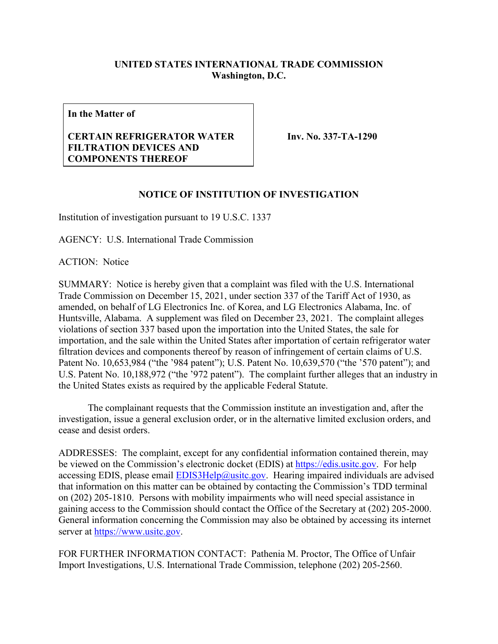## **UNITED STATES INTERNATIONAL TRADE COMMISSION Washington, D.C.**

**In the Matter of**

## **CERTAIN REFRIGERATOR WATER FILTRATION DEVICES AND COMPONENTS THEREOF**

**Inv. No. 337-TA-1290**

## **NOTICE OF INSTITUTION OF INVESTIGATION**

Institution of investigation pursuant to 19 U.S.C. 1337

AGENCY: U.S. International Trade Commission

ACTION: Notice

SUMMARY: Notice is hereby given that a complaint was filed with the U.S. International Trade Commission on December 15, 2021, under section 337 of the Tariff Act of 1930, as amended, on behalf of LG Electronics Inc. of Korea, and LG Electronics Alabama, Inc. of Huntsville, Alabama. A supplement was filed on December 23, 2021. The complaint alleges violations of section 337 based upon the importation into the United States, the sale for importation, and the sale within the United States after importation of certain refrigerator water filtration devices and components thereof by reason of infringement of certain claims of U.S. Patent No. 10,653,984 ("the '984 patent"); U.S. Patent No. 10,639,570 ("the '570 patent"); and U.S. Patent No. 10,188,972 ("the '972 patent"). The complaint further alleges that an industry in the United States exists as required by the applicable Federal Statute.

The complainant requests that the Commission institute an investigation and, after the investigation, issue a general exclusion order, or in the alternative limited exclusion orders, and cease and desist orders.

ADDRESSES: The complaint, except for any confidential information contained therein, may be viewed on the Commission's electronic docket (EDIS) at [https://edis.usitc.gov.](https://edis.usitc.gov/) For help accessing EDIS, please email  $EDIS3Help@usite.gov$ . Hearing impaired individuals are advised that information on this matter can be obtained by contacting the Commission's TDD terminal on (202) 205-1810. Persons with mobility impairments who will need special assistance in gaining access to the Commission should contact the Office of the Secretary at (202) 205-2000. General information concerning the Commission may also be obtained by accessing its internet server at [https://www.usitc.gov.](https://www.usitc.gov/)

FOR FURTHER INFORMATION CONTACT: Pathenia M. Proctor, The Office of Unfair Import Investigations, U.S. International Trade Commission, telephone (202) 205-2560.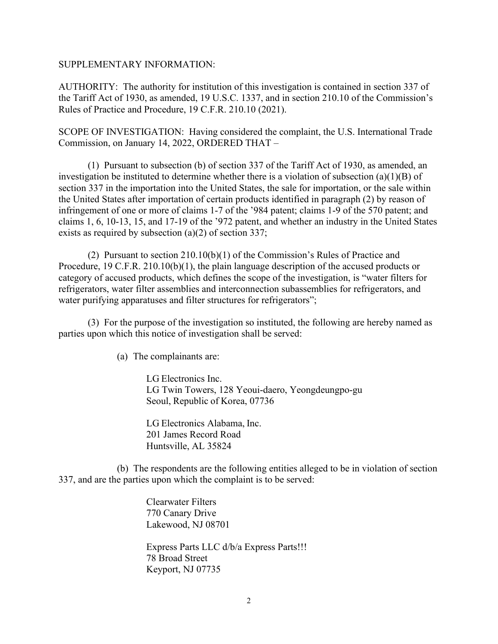## SUPPLEMENTARY INFORMATION:

AUTHORITY: The authority for institution of this investigation is contained in section 337 of the Tariff Act of 1930, as amended, 19 U.S.C. 1337, and in section 210.10 of the Commission's Rules of Practice and Procedure, 19 C.F.R. 210.10 (2021).

SCOPE OF INVESTIGATION: Having considered the complaint, the U.S. International Trade Commission, on January 14, 2022, ORDERED THAT –

(1) Pursuant to subsection (b) of section 337 of the Tariff Act of 1930, as amended, an investigation be instituted to determine whether there is a violation of subsection (a)(1)(B) of section 337 in the importation into the United States, the sale for importation, or the sale within the United States after importation of certain products identified in paragraph (2) by reason of infringement of one or more of claims 1-7 of the '984 patent; claims 1-9 of the 570 patent; and claims 1, 6, 10-13, 15, and 17-19 of the '972 patent, and whether an industry in the United States exists as required by subsection (a)(2) of section 337;

(2) Pursuant to section 210.10(b)(1) of the Commission's Rules of Practice and Procedure, 19 C.F.R. 210.10(b)(1), the plain language description of the accused products or category of accused products, which defines the scope of the investigation, is "water filters for refrigerators, water filter assemblies and interconnection subassemblies for refrigerators, and water purifying apparatuses and filter structures for refrigerators";

(3) For the purpose of the investigation so instituted, the following are hereby named as parties upon which this notice of investigation shall be served:

(a) The complainants are:

LG Electronics Inc. LG Twin Towers, 128 Yeoui-daero, Yeongdeungpo-gu Seoul, Republic of Korea, 07736

LG Electronics Alabama, Inc. 201 James Record Road Huntsville, AL 35824

(b) The respondents are the following entities alleged to be in violation of section 337, and are the parties upon which the complaint is to be served:

> Clearwater Filters 770 Canary Drive Lakewood, NJ 08701

Express Parts LLC d/b/a Express Parts!!! 78 Broad Street Keyport, NJ 07735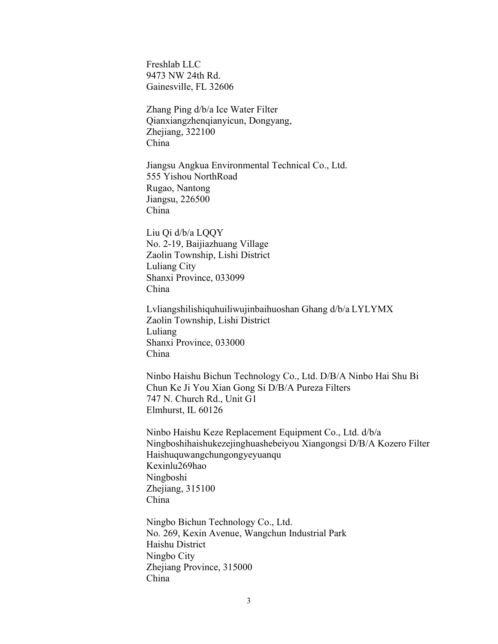Freshlab LLC 9473 NW 24th Rd. Gainesville, FL 32606

Zhang Ping d/b/a Ice Water Filter Qianxiangzhenqianyicun, Dongyang, Zhejiang, 322100 China

Jiangsu Angkua Environmental Technical Co., Ltd. 555 Yishou NorthRoad Rugao, Nantong Jiangsu, 226500 China

Liu Qi d/b/a LQQY No. 2-19, Baijiazhuang Village Zaolin Township, Lishi District Luliang City Shanxi Province, 033099 China

Lvliangshilishiquhuiliwujinbaihuoshan Ghang d/b/a LYLYMX Zaolin Township, Lishi District Luliang Shanxi Province, 033000 China

Ninbo Haishu Bichun Technology Co., Ltd. D/B/A Ninbo Hai Shu Bi Chun Ke Ji You Xian Gong Si D/B/A Pureza Filters 747 N. Church Rd., Unit G1 Elmhurst, IL 60126

Ninbo Haishu Keze Replacement Equipment Co., Ltd. d/b/a Ningboshihaishukezejinghuashebeiyou Xiangongsi D/B/A Kozero Filter Haishuquwangchungongyeyuanqu Kexinlu269hao Ningboshi Zhejiang, 315100 China

Ningbo Bichun Technology Co., Ltd. No. 269, Kexin Avenue, Wangchun Industrial Park Haishu District Ningbo City Zhejiang Province, 315000 China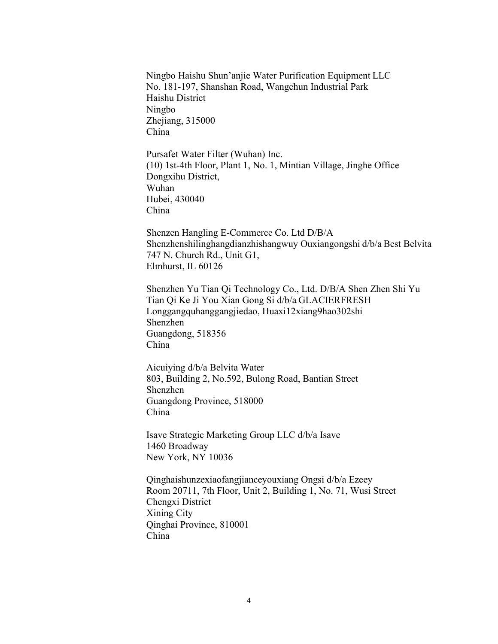Ningbo Haishu Shun'anjie Water Purification Equipment LLC No. 181-197, Shanshan Road, Wangchun Industrial Park Haishu District Ningbo Zhejiang, 315000 China Pursafet Water Filter (Wuhan) Inc.

(10) 1st-4th Floor, Plant 1, No. 1, Mintian Village, Jinghe Office Dongxihu District, Wuhan Hubei, 430040 China

Shenzen Hangling E-Commerce Co. Ltd D/B/A Shenzhenshilinghangdianzhishangwuy Ouxiangongshi d/b/a Best Belvita 747 N. Church Rd., Unit G1, Elmhurst, IL 60126

Shenzhen Yu Tian Qi Technology Co., Ltd. D/B/A Shen Zhen Shi Yu Tian Qi Ke Ji You Xian Gong Si d/b/a GLACIERFRESH Longgangquhanggangjiedao, Huaxi12xiang9hao302shi Shenzhen Guangdong, 518356 China

Aicuiying d/b/a Belvita Water 803, Building 2, No.592, Bulong Road, Bantian Street Shenzhen Guangdong Province, 518000 China

Isave Strategic Marketing Group LLC d/b/a Isave 1460 Broadway New York, NY 10036

Qinghaishunzexiaofangjianceyouxiang Ongsi d/b/a Ezeey Room 20711, 7th Floor, Unit 2, Building 1, No. 71, Wusi Street Chengxi District Xining City Qinghai Province, 810001 China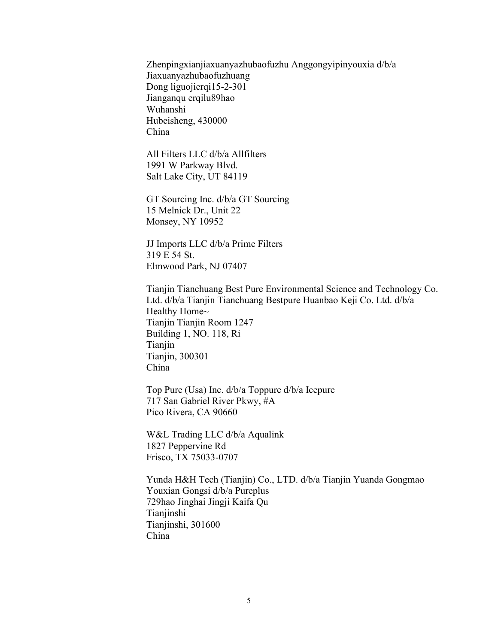Zhenpingxianjiaxuanyazhubaofuzhu Anggongyipinyouxia d/b/a Jiaxuanyazhubaofuzhuang Dong liguojierqi15-2-301 Jianganqu erqilu89hao Wuhanshi Hubeisheng, 430000 China

All Filters LLC d/b/a Allfilters 1991 W Parkway Blvd. Salt Lake City, UT 84119

GT Sourcing Inc. d/b/a GT Sourcing 15 Melnick Dr., Unit 22 Monsey, NY 10952

JJ Imports LLC d/b/a Prime Filters 319 E 54 St. Elmwood Park, NJ 07407

Tianjin Tianchuang Best Pure Environmental Science and Technology Co. Ltd. d/b/a Tianjin Tianchuang Bestpure Huanbao Keji Co. Ltd. d/b/a Healthy Home~ Tianjin Tianjin Room 1247 Building 1, NO. 118, Ri Tianjin Tianjin, 300301 China

Top Pure (Usa) Inc. d/b/a Toppure d/b/a Icepure 717 San Gabriel River Pkwy, #A Pico Rivera, CA 90660

W&L Trading LLC d/b/a Aqualink 1827 Peppervine Rd Frisco, TX 75033-0707

Yunda H&H Tech (Tianjin) Co., LTD. d/b/a Tianjin Yuanda Gongmao Youxian Gongsi d/b/a Pureplus 729hao Jinghai Jingji Kaifa Qu Tianjinshi Tianjinshi, 301600 China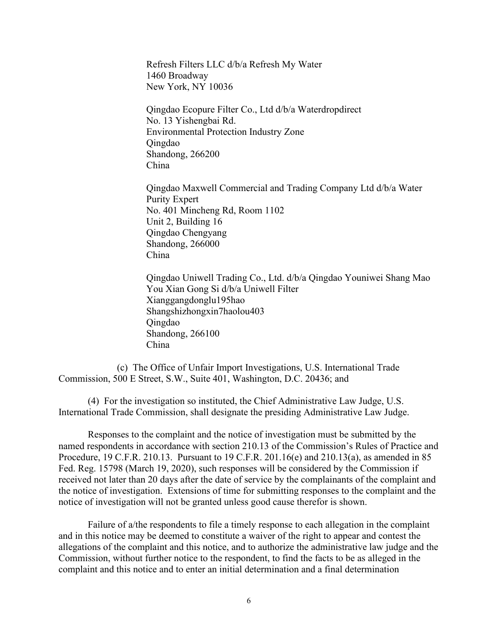Refresh Filters LLC d/b/a Refresh My Water 1460 Broadway New York, NY 10036

Qingdao Ecopure Filter Co., Ltd d/b/a Waterdropdirect No. 13 Yishengbai Rd. Environmental Protection Industry Zone Qingdao Shandong, 266200 China

Qingdao Maxwell Commercial and Trading Company Ltd d/b/a Water Purity Expert No. 401 Mincheng Rd, Room 1102 Unit 2, Building 16 Qingdao Chengyang Shandong, 266000 China

Qingdao Uniwell Trading Co., Ltd. d/b/a Qingdao Youniwei Shang Mao You Xian Gong Si d/b/a Uniwell Filter Xianggangdonglu195hao Shangshizhongxin7haolou403 Qingdao Shandong, 266100 China

(c) The Office of Unfair Import Investigations, U.S. International Trade Commission, 500 E Street, S.W., Suite 401, Washington, D.C. 20436; and

(4) For the investigation so instituted, the Chief Administrative Law Judge, U.S. International Trade Commission, shall designate the presiding Administrative Law Judge.

Responses to the complaint and the notice of investigation must be submitted by the named respondents in accordance with section 210.13 of the Commission's Rules of Practice and Procedure, 19 C.F.R. 210.13. Pursuant to 19 C.F.R. 201.16(e) and 210.13(a), as amended in 85 Fed. Reg. 15798 (March 19, 2020), such responses will be considered by the Commission if received not later than 20 days after the date of service by the complainants of the complaint and the notice of investigation. Extensions of time for submitting responses to the complaint and the notice of investigation will not be granted unless good cause therefor is shown.

Failure of a/the respondents to file a timely response to each allegation in the complaint and in this notice may be deemed to constitute a waiver of the right to appear and contest the allegations of the complaint and this notice, and to authorize the administrative law judge and the Commission, without further notice to the respondent, to find the facts to be as alleged in the complaint and this notice and to enter an initial determination and a final determination